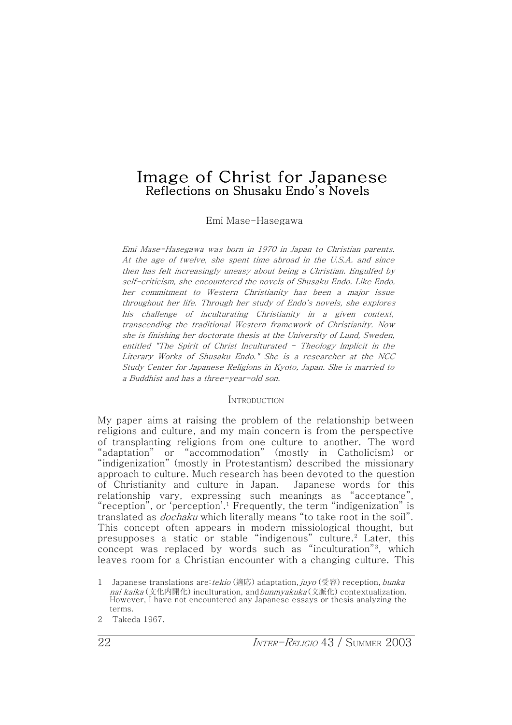# Image of Christ for Japanese Reflections on Shusaku Endo's Novels

Emi Mase-Hasegawa

Emi Mase-Hasegawa was born in X970 in Japan to Christian parents. At the age of twelve, she spent time abroad in the U.S.A. and since then has felt increasingly uneasy about being <sup>a</sup> Christian. Engulfed by self-criticism, she encountered the novels of Shusaku Endo. Like Endo, her commitment to Western Christianity has been <sup>a</sup> major issue throughout her life. Through her study of Endo's novels, she explores his challenge of inculturating Christianity in <sup>a</sup> given context, transcending the traditional Western framework of Christianity. Now she is finishing her doctorate thesis at the University of Lund, Sweden, entitled "The Spirit of Christ Inculturated - Theology Implicit in the Literary Works of Shusaku Endo." She is <sup>a</sup> researcher at the NCC Study Center for Japanese Religions in Kyoto, Japan. She is married to a Buddhist and has a three-year-old son.

# **INTRODUCTION**

My paper aims at raising the problem of the relationship between religions and culture, and my main concern is from the perspective of transplanting religions from one culture to another. The word ˈadaptationˉ or ˈaccommodationˉ (mostly in Catholicism) or ˈindigenizationˉ (mostly in Protestantism) described the missionary approach to culture. Much research has been devoted to the question of Christianity and culture in Japan. Japanese words for this relationship vary, expressing such meanings as "acceptance", "reception", or 'perception'.<sup>1</sup> Frequently, the term "indigenization" is translated as *dochaku* which literally means "to take root in the soil". This concept often appears in modern missiological thought, but presupposes a static or stable "indigenous" culture.<sup>2</sup> Later, this concept was replaced by words such as "inculturation"<sup>3</sup>, which leaves room for a Christian encounter with a changing culture. This

<sup>1</sup> Japanese translations are: tekio (適応) adaptation, juyo (受容) reception, bunka nai kaika (文化内開化) inculturation, and bunmyakuka (文脈化) contextualization. However, I have not encountered any Japanese essays or thesis analyzing the terms.

<sup>2</sup> Takeda 1967.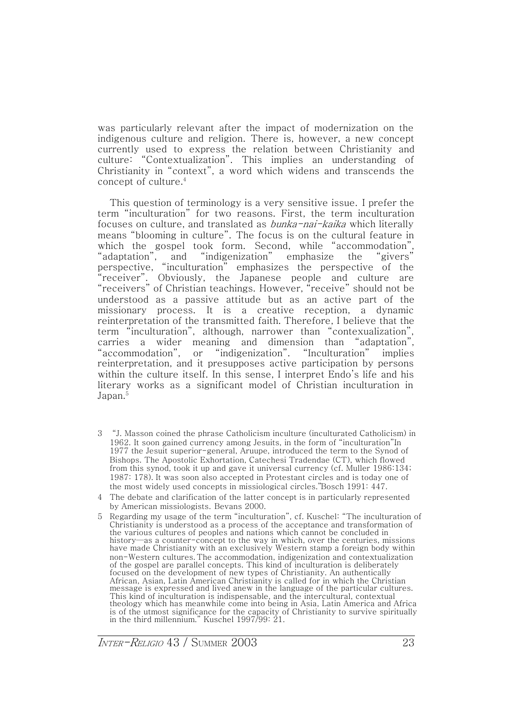was particularly relevant after the impact of modernization on the indigenous culture and religion. There is, however, a new concept currently used to express the relation between Christianity and culture: "Contextualization". This implies an understanding of Christianity in "context", a word which widens and transcends the concept of culture.4

This question of terminology is a very sensitive issue. I prefer the term ˈinculturationˉ for two reasons. First, the term inculturation focuses on culture, and translated as *bunka-nai-kaika* which literally means ˈblooming in cultureˉ. The focus is on the cultural feature in which the gospel took form. Second, while ˈaccommodationˉ, "adaptation", and "indigenization" emphasize the "givers" perspective, ˈinculturationˉ emphasizes the perspective of the ˈreceiverˉ. Obviously, the Japanese people and culture are ˈreceiversˉ of Christian teachings. However, ˈreceiveˉ should not be understood as a passive attitude but as an active part of the missionary process. It is a creative reception, a dynamic reinterpretation of the transmitted faith. Therefore, I believe that the term "inculturation", although, narrower than "contexualization", carries a wider meaning and dimension than ˈadaptationˉ, "accommodation", or "indigenization". "Inculturation" implies reinterpretation, and it presupposes active participation by persons within the culture itself. In this sense, I interpret Endo's life and his literary works as a significant model of Christian inculturation in Japan.<sup>5</sup>

- 3 ˈJ. Masson coined the phrase Catholicism inculture (inculturated Catholicism) in 1962. It soon gained currency among Jesuits, in the form of "inculturation"In 1977 the Jesuit superior-general, Aruupe, introduced the term to the Synod of Bishops. The Apostolic Exhortation, Catechesi Tradendae (CT), which flowed from this synod, took it up and gave it universal currency (cf. Muller 1986:134; 1987: 178). It was soon also accepted in Protestant circles and is today one of the most widely used concepts in missiological circles."Bosch 1991: 447.
- 4 The debate and clarification of the latter concept is in particularly represented by American missiologists. Bevans 2000.
- 5 Regarding my usage of the term ˈinculturationˉ, cf. Kuschel: ˈThe inculturation of Christianity is understood as a process of the acceptance and transformation of the various cultures of peoples and nations which cannot be concluded in history—as a counter-concept to the way in which, over the centuries, missions have made Christianity with an exclusively Western stamp a foreign body within non-Western cultures. The accommodation, indigenization and contextualization of the gospel are parallel concepts. This kind of inculturation is deliberately focused on the development of new types of Christianity. An authentically African, Asian, Latin American Christianity is called for in which the Christian message is expressed and lived anew in the language of the particular cultures. This kind of inculturation is indispensable, and the intercultural, contextual theology which has meanwhile come into being in Asia, Latin America and Africa is of the utmost significance for the capacity of Christianity to survive spiritually in the third millennium." Kuschel  $1997/99$ : 21.

INTER-RELIGIO 43 / SUMMER 2003 23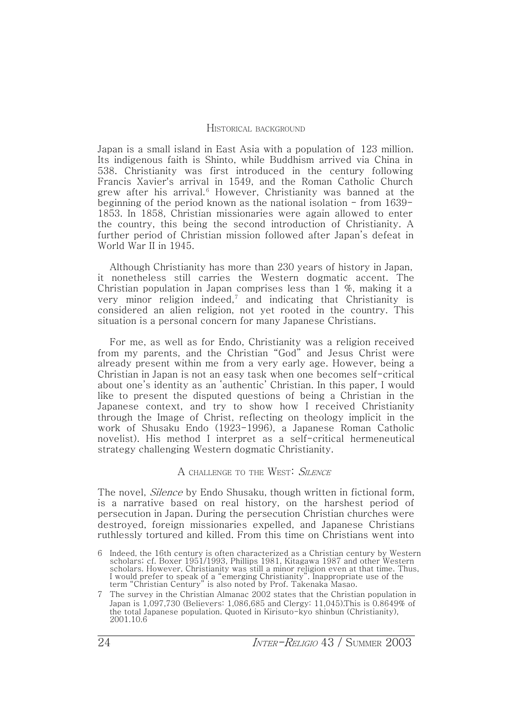#### HISTORICAL BACKGROUND

Japan is a small island in East Asia with a population of 123 million. Its indigenous faith is Shinto, while Buddhism arrived via China in 538. Christianity was first introduced in the century following Francis Xavier's arrival in X549, and the Roman Catholic Church grew after his arrival.<sup>6</sup> However, Christianity was banned at the beginning of the period known as the national isolation  $-$  from 1639 $-$ 1853. In 1858, Christian missionaries were again allowed to enter the country, this being the second introduction of Christianity. A further period of Christian mission followed after Japan's defeat in World War II in 1945.

Although Christianity has more than 230 years of history in Japan, it nonetheless still carries the Western dogmatic accent. The Christian population in Japan comprises less than  $1\%$ , making it a very minor religion indeed,<sup>7</sup> and indicating that Christianity is considered an alien religion, not yet rooted in the country. This situation is a personal concern for many Japanese Christians.

For me, as well as for Endo, Christianity was a religion received from my parents, and the Christian "God" and Jesus Christ were already present within me from a very early age. However, being a Christian in Japan is not an easy task when one becomes self-critical about one's identity as an 'authentic' Christian. In this paper, I would like to present the disputed questions of being a Christian in the Japanese context, and try to show how I received Christianity through the Image of Christ, reflecting on theology implicit in the work of Shusaku Endo (1923-1996), a Japanese Roman Catholic novelist). His method I interpret as a self-critical hermeneutical strategy challenging Western dogmatic Christianity.

# A CHALLENGE TO THE WEST: SILENCE

The novel, *Silence* by Endo Shusaku, though written in fictional form, is a narrative based on real history, on the harshest period of persecution in Japan. During the persecution Christian churches were destroyed, foreign missionaries expelled, and Japanese Christians ruthlessly tortured and killed. From this time on Christians went into

<sup>6</sup> Indeed, the 16th century is often characterized as a Christian century by Western scholars; cf. Boxer 1951/1993, Phillips 1981, Kitagawa 1987 and other Western scholars. However, Christianity was still a minor religion even at that time. Thus, I would prefer to speak of a ˈemerging Christianityˉ. Inappropriate use of the term ˈChristian Centuryˉ is also noted by Prof. Takenaka Masao.

<sup>7</sup> The survey in the Christian Almanac 2002 states that the Christian population in Japan is 1,097,730 (Believers: 1,086,685 and Clergy: 11,045). This is 0.8649% of the total Japanese population. Quoted in Kirisuto-kyo shinbun (Christianity), 2001.10.6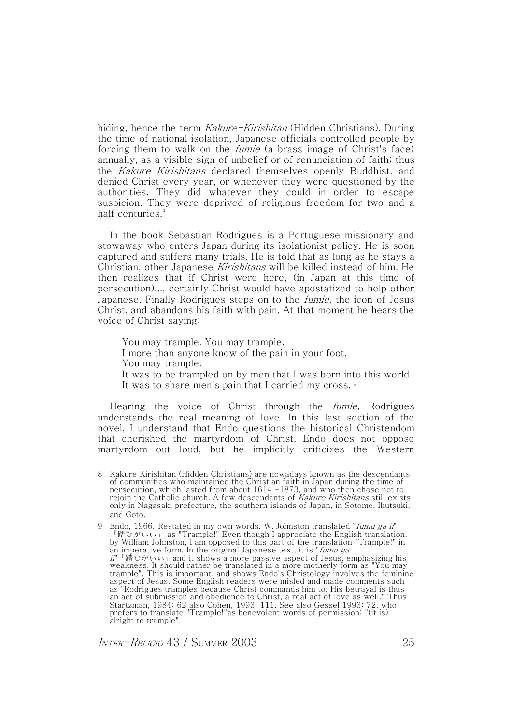hiding, hence the term Kakure-Kirishitan (Hidden Christians). During the time of national isolation, Japanese officials controlled people by forcing them to walk on the fumie (a brass image of Christ's face) annually, as a visible sign of unbelief or of renunciation of faith; thus the Kakure Kirishitans declared themselves openly Buddhist, and denied Christ every year, or whenever they were questioned by the authorities. They did whatever they could in order to escape suspicion. They were deprived of religious freedom for two and a half centuries.<sup>8</sup>

In the book Sebastian Rodrigues is a Portuguese missionary and stowaway who enters Japan during its isolationist policy. He is soon captured and suffers many trials. He is told that as long as he stays a Christian, other Japanese Kirishitans will be killed instead of him. He then realizes that if Christ were here, (in Japan at this time of persecution)..., certainly Christ would have apostatized to help other Japanese. Finally Rodrigues steps on to the *fumie*, the icon of Jesus Christ, and abandons his faith with pain. At that moment he hears the voice of Christ saying:

You may trample. You may trample. I more than anyone know of the pain in your foot. You may trample. It was to be trampled on by men that I was born into this world. It was to share men's pain that I carried my cross. 9

Hearing the voice of Christ through the *fumie*, Rodrigues understands the real meaning of love. In this last section of the novel, I understand that Endo questions the historical Christendom that cherished the martyrdom of Christ. Endo does not oppose martyrdom out loud, but he implicitly criticizes the Western

<sup>8</sup> Kakure Kirishitan (Hidden Christians) are nowadays known as the descendants of communities who maintained the Christian faith in Japan during the time of persecution, which lasted from about  $1614 - 1873$ , and who then chose not to rejoin the Catholic church. A few descendants of Kakure Kirishitans still exists only in Nagasaki prefecture, the southern islands of Japan, in Sotome, Ikutsuki, and Goto.

<sup>9</sup> Endo, 1966. Restated in my own words. W. Johnston translated "fumu ga ii" 「踏むがいい」 as "Trample!" Even though I appreciate the English translation, by William Johnston, I am opposed to this part of the translation "Trample!" in an imperative form. In the original Japanese text, it is "fumu ga  $ii'$   $\mathbb{R}$  is  $\mathbb{R}$  is and it shows a more passive aspect of Jesus, emphasizing his weakness. It should rather be translated in a more motherly form as "You may trample". This is important, and shows Endo's Christology involves the feminine aspect of Jesus. Some English readers were misled and made comments such as "Rodrigues tramples because Christ commands him to. His betrayal is thus an act of submission and obedience to Christ, a real act of love as well." Thus Startzman, 1984: 62 also Cohen, 1993: 111. See also Gessel 1993: 72, who<br>prefers to translate "Trample!"as benevolent words of permission: "(it is) alright to trample".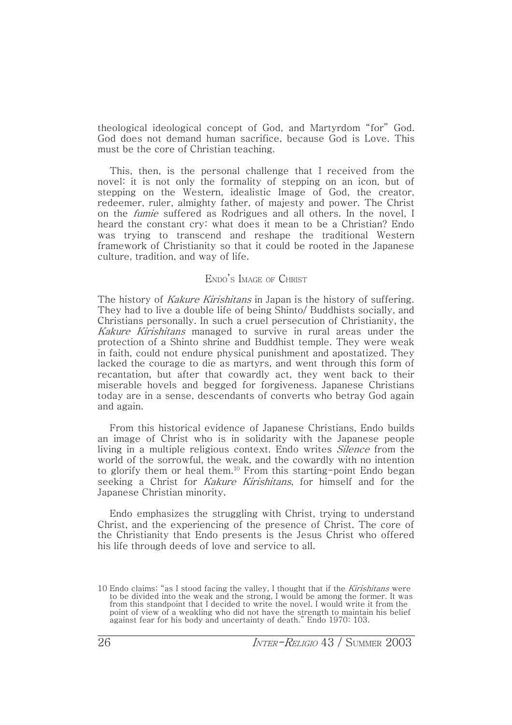theological ideological concept of God, and Martyrdom "for" God. God does not demand human sacrifice, because God is Love. This must be the core of Christian teaching.

This, then, is the personal challenge that I received from the novel: it is not only the formality of stepping on an icon, but of stepping on the Western, idealistic Image of God, the creator, redeemer, ruler, almighty father, of majesty and power. The Christ on the fumie suffered as Rodrigues and all others. In the novel, I heard the constant cry: what does it mean to be a Christian? Endo was trying to transcend and reshape the traditional Western framework of Christianity so that it could be rooted in the Japanese culture, tradition, and way of life.

# ENDO'S IMAGE OF CHRIST

The history of Kakure Kirishitans in Japan is the history of suffering. They had to live a double life of being Shinto/ Buddhists socially, and Christians personally. In such a cruel persecution of Christianity, the Kakure Kirishitans managed to survive in rural areas under the protection of a Shinto shrine and Buddhist temple. They were weak in faith, could not endure physical punishment and apostatized. They lacked the courage to die as martyrs, and went through this form of recantation, but after that cowardly act, they went back to their miserable hovels and begged for forgiveness. Japanese Christians today are in a sense, descendants of converts who betray God again and again.

From this historical evidence of Japanese Christians, Endo builds an image of Christ who is in solidarity with the Japanese people living in a multiple religious context. Endo writes *Silence* from the world of the sorrowful, the weak, and the cowardly with no intention to glorify them or heal them.<sup>10</sup> From this starting-point Endo began seeking a Christ for Kakure Kirishitans, for himself and for the Japanese Christian minority.

Endo emphasizes the struggling with Christ, trying to understand Christ, and the experiencing of the presence of Christ. The core of the Christianity that Endo presents is the Jesus Christ who offered his life through deeds of love and service to all.

<sup>10</sup> Endo claims: "as I stood facing the valley, I thought that if the Kirishitans were to be divided into the weak and the strong, I would be among the former. It was from this standpoint that I decided to write the novel. I would write it from the point of view of a weakling who did not have the strength to maintain his belief against fear for his body and uncertainty of death." Endo 1970: 103.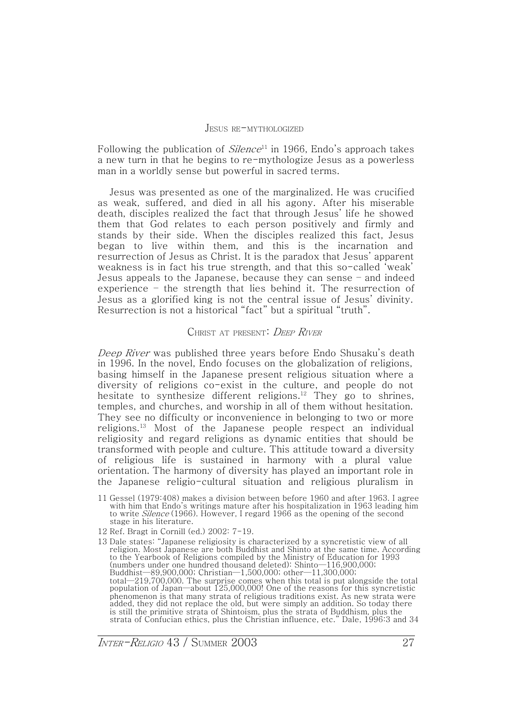#### JESUS RE-MYTHOLOGIZED

Following the publication of  $Silence<sup>11</sup>$  in 1966, Endo's approach takes a new turn in that he begins to re-mythologize Jesus as a powerless man in a worldly sense but powerful in sacred terms.

Jesus was presented as one of the marginalized. He was crucified as weak, suffered, and died in all his agony. After his miserable death, disciples realized the fact that through Jesus' life he showed them that God relates to each person positively and firmly and stands by their side. When the disciples realized this fact, Jesus began to live within them, and this is the incarnation and resurrection of Jesus as Christ. It is the paradox that Jesus' apparent weakness is in fact his true strength, and that this so-called 'weak' Jesus appeals to the Japanese, because they can sense  $-$  and indeed experience  $-$  the strength that lies behind it. The resurrection of Jesus as a glorified king is not the central issue of Jesus' divinity. Resurrection is not a historical "fact" but a spiritual "truth".

#### CHRIST AT PRESENT: DEEP RIVER

Deep River was published three years before Endo Shusaku's death in 1996. In the novel, Endo focuses on the globalization of religions, basing himself in the Japanese present religious situation where a diversity of religions co-exist in the culture, and people do not hesitate to synthesize different religions.<sup>12</sup> They go to shrines, temples, and churches, and worship in all of them without hesitation. They see no difficulty or inconvenience in belonging to two or more religions.<sup>13</sup> Most of the Japanese people respect an individual religiosity and regard religions as dynamic entities that should be transformed with people and culture. This attitude toward a diversity of religious life is sustained in harmony with a plural value orientation. The harmony of diversity has played an important role in the Japanese religio-cultural situation and religious pluralism in

- 11 Gessel (1979:408) makes a division between before  $1960$  and after 1963. I agree with him that Endo's writings mature after his hospitalization in 1963 leading him to write Silence (1966). However, I regard 1966 as the opening of the second stage in his literature.
- 12 Ref. Bragt in Cornill (ed.)  $2002: 7-19$ .
- 13 Dale states: "Japanese religiosity is characterized by a syncretistic view of all religion. Most Japanese are both Buddhist and Shinto at the same time. According to the Yearbook of Religions compiled by the Ministry of Education for 1993 (numbers under one hundred thousand deleted): Shinto-116,900,000; Buddhist—89,900,000; Christian—1,500,000; other—11,300,000; total-219,700,000. The surprise comes when this total is put alongside the total population of Japan—about 125,000,000! One of the reasons for this syncretistic phenomenon is that many strata of religious traditions exist. As new strata were added, they did not replace the old, but were simply an addition. So today there is still the primitive strata of Shintoism, plus the strata of Buddhism, plus the strata of Confucian ethics, plus the Christian influence, etc." Dale, 1996:3 and 34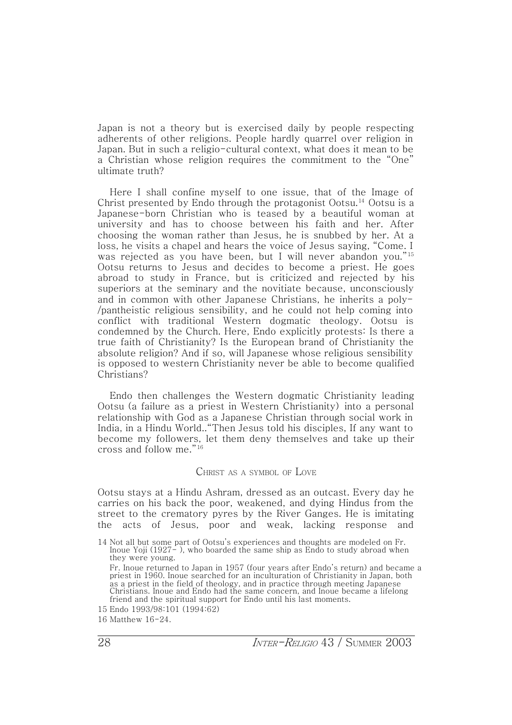Japan is not a theory but is exercised daily by people respecting adherents of other religions. People hardly quarrel over religion in Japan. But in such a religio-cultural context, what does it mean to be a Christian whose religion requires the commitment to the ˈOneˉ ultimate truth?

Here I shall confine myself to one issue, that of the Image of Christ presented by Endo through the protagonist Ootsu.<sup>14</sup> Ootsu is a Japanese-born Christian who is teased by a beautiful woman at university and has to choose between his faith and her. After choosing the woman rather than Jesus, he is snubbed by her. At a loss, he visits a chapel and hears the voice of Jesus saying, "Come. I was rejected as you have been, but I will never abandon you."<sup>15</sup> Ootsu returns to Jesus and decides to become a priest. He goes abroad to study in France, but is criticized and rejected by his superiors at the seminary and the novitiate because, unconsciously and in common with other Japanese Christians, he inherits a poly- /pantheistic religious sensibility, and he could not help coming into conflict with traditional Western dogmatic theology. Ootsu is condemned by the Church. Here, Endo explicitly protests: Is there a true faith of Christianity? Is the European brand of Christianity the absolute religion? And if so, will Japanese whose religious sensibility is opposed to western Christianity never be able to become qualified Christians?

Endo then challenges the Western dogmatic Christianity leading Ootsu (a failure as a priest in Western Christianity) into a personal relationship with God as a Japanese Christian through social work in India, in a Hindu World..ˈThen Jesus told his disciples, If any want to become my followers, let them deny themselves and take up their cross and follow me."<sup>16</sup>

# CHRIST AS <sup>A</sup> SYMBOL OF LOVE

Ootsu stays at a Hindu Ashram, dressed as an outcast. Every day he carries on his back the poor, weakened, and dying Hindus from the street to the crematory pyres by the River Ganges. He is imitating the acts of Jesus, poor and weak, lacking response and

<sup>14</sup> Not all but some part of Ootsu's experiences and thoughts are modeled on Fr. Inoue Yoji (1927- ), who boarded the same ship as Endo to study abroad when they were young.

Fr. Inoue returned to Japan in 1957 (four years after Endo's return) and became a priest in X960. Inoue searched for an inculturation of Christianity in Japan, both as a priest in the field of theology, and in practice through meeting Japanese Christians. Inoue and Endo had the same concern, and Inoue became a lifelong friend and the spiritual support for Endo until his last moments.

<sup>15</sup> Endo 1993/98:101 (1994:62)

<sup>16</sup> Matthew 16-24.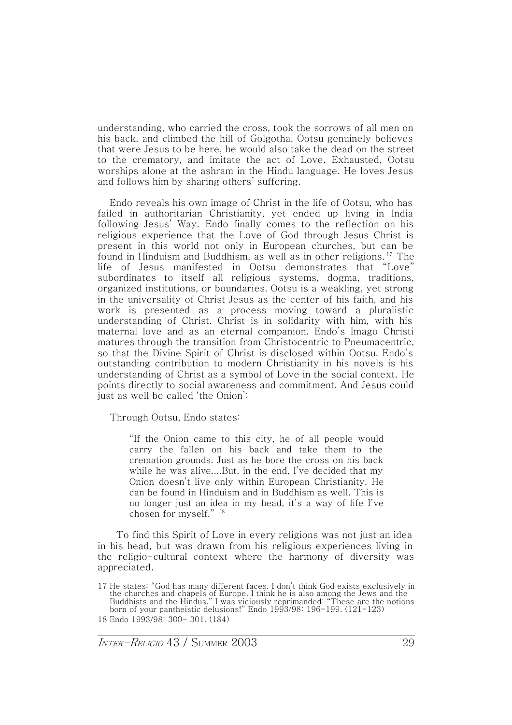understanding, who carried the cross, took the sorrows of all men on his back, and climbed the hill of Golgotha. Ootsu genuinely believes that were Jesus to be here, he would also take the dead on the street to the crematory, and imitate the act of Love. Exhausted, Ootsu worships alone at the ashram in the Hindu language. He loves Jesus and follows him by sharing others' suffering.

Endo reveals his own image of Christ in the life of Ootsu, who has failed in authoritarian Christianity, yet ended up living in India following Jesus' Way. Endo finally comes to the reflection on his religious experience that the Love of God through Jesus Christ is present in this world not only in European churches, but can be found in Hinduism and Buddhism, as well as in other religions. <sup>17</sup> The life of Jesus manifested in Ootsu demonstrates that "Love" subordinates to itself all religious systems, dogma, traditions, organized institutions, or boundaries. Ootsu is a weakling, yet strong in the universality of Christ Jesus as the center of his faith, and his work is presented as a process moving toward a pluralistic understanding of Christ. Christ is in solidarity with him, with his maternal love and as an eternal companion. Endo's Imago Christi matures through the transition from Christocentric to Pneumacentric, so that the Divine Spirit of Christ is disclosed within Ootsu. Endo's outstanding contribution to modern Christianity in his novels is his understanding of Christ as a symbol of Love in the social context. He points directly to social awareness and commitment. And Jesus could just as well be called 'the Onion':

Through Ootsu, Endo states:

ˈIf the Onion came to this city, he of all people would carry the fallen on his back and take them to the cremation grounds. Just as he bore the cross on his back while he was alive....But, in the end, I've decided that my Onion doesn't live only within European Christianity. He can be found in Hinduism and in Buddhism as well. This is no longer just an idea in my head, it's a way of life I've chosen for myself."<sup>18</sup>

To find this Spirit of Love in every religions was not just an idea in his head, but was drawn from his religious experiences living in the religio-cultural context where the harmony of diversity was appreciated.

<sup>17</sup> He states: "God has many different faces. I don't think God exists exclusively in the churches and chapels of Europe. I think he is also among the Jews and the Buddhists and the Hindus.ˉ I was viciously reprimanded: ˈThese are the notions born of your pantheistic delusions!" Endo 1993/98: 196-199. (121-123) 18 Endo 1993/98: 300- 301. (184)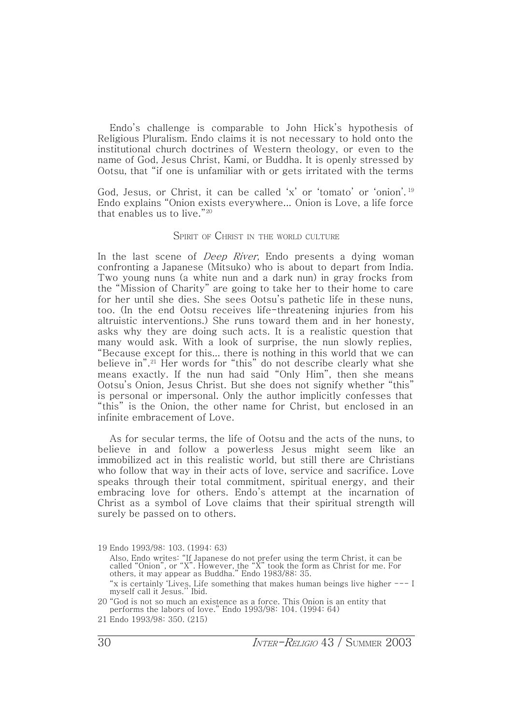Endo's challenge is comparable to John Hick's hypothesis of Religious Pluralism. Endo claims it is not necessary to hold onto the institutional church doctrines of Western theology, or even to the name of God, Jesus Christ, Kami, or Buddha. It is openly stressed by Ootsu, that ˈif one is unfamiliar with or gets irritated with the terms

God, Jesus, or Christ, it can be called  $x'$  or 'tomato' or 'onion'.<sup>19</sup> Endo explains ˈOnion exists everywhere... Onion is Love, a life force that enables us to live."<sup>20</sup>

#### SPIRIT OF CHRIST IN THE WORLD CULTURE

In the last scene of *Deep River*, Endo presents a dying woman confronting a Japanese (Mitsuko) who is about to depart from India. Two young nuns (a white nun and a dark nun) in gray frocks from the ˈMission of Charityˉ are going to take her to their home to care for her until she dies. She sees Ootsu's pathetic life in these nuns, too. (In the end Ootsu receives life-threatening injuries from his altruistic interventions.) She runs toward them and in her honesty, asks why they are doing such acts. It is a realistic question that many would ask. With a look of surprise, the nun slowly replies, ˈBecause except for this... there is nothing in this world that we can believe in".<sup>21</sup> Her words for "this" do not describe clearly what she means exactly. If the nun had said "Only Him", then she means Ootsu's Onion, Jesus Christ. But she does not signify whether "this" is personal or impersonal. Only the author implicitly confesses that "this" is the Onion, the other name for Christ, but enclosed in an infinite embracement of Love.

As for secular terms, the life of Ootsu and the acts of the nuns, to believe in and follow a powerless Jesus might seem like an immobilized act in this realistic world, but still there are Christians who follow that way in their acts of love, service and sacrifice. Love speaks through their total commitment, spiritual energy, and their embracing love for others. Endo's attempt at the incarnation of Christ as a symbol of Love claims that their spiritual strength will surely be passed on to others.

"x is certainly 'Lives, Life something that makes human beings live higher --- I myself call it Jesus." Ibid.

<sup>19</sup> Endo 1993/98: 103. (1994: 63)

Also, Endo writes: "If Japanese do not prefer using the term Christ, it can be called "Onion", or "X". However, the "X" took the form as Christ for me. For others, it may appear as Buddha." Endo 1983/88: 35.

<sup>20</sup> ˈGod is not so much an existence as a force. This Onion is an entity that performs the labors of love." Endo 1993/98: 104. (1994: 64)

<sup>21</sup> Endo 1993/98: 350. (215)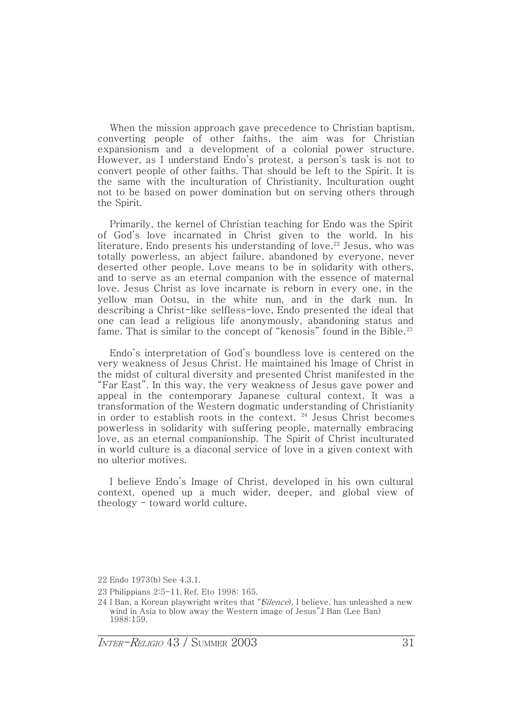When the mission approach gave precedence to Christian baptism, converting people of other faiths, the aim was for Christian expansionism and a development of a colonial power structure. However, as I understand Endo's protest, a person's task is not to convert people of other faiths. That should be left to the Spirit. It is the same with the inculturation of Christianity. Inculturation ought not to be based on power domination but on serving others through the Spirit.

Primarily, the kernel of Christian teaching for Endo was the Spirit of God's love incarnated in Christ given to the world. In his literature, Endo presents his understanding of love.<sup>22</sup> Jesus, who was totally powerless, an abject failure, abandoned by everyone, never deserted other people. Love means to be in solidarity with others, and to serve as an eternal companion with the essence of maternal love. Jesus Christ as love incarnate is reborn in every one, in the yellow man Ootsu, in the white nun, and in the dark nun. In describing a Christ-like selfless-love, Endo presented the ideal that one can lead a religious life anonymously, abandoning status and fame. That is similar to the concept of "kenosis" found in the Bible.<sup>23</sup>

Endo's interpretation of God's boundless love is centered on the very weakness of Jesus Christ. He maintained his Image of Christ in the midst of cultural diversity and presented Christ manifested in the ˈFar Eastˉ. In this way, the very weakness of Jesus gave power and appeal in the contemporary Japanese cultural context. It was a transformation of the Western dogmatic understanding of Christianity in order to establish roots in the context.  $24$  Jesus Christ becomes powerless in solidarity with suffering people, maternally embracing love, as an eternal companionship. The Spirit of Christ inculturated in world culture is a diaconal service of love in a given context with no ulterior motives.

I believe Endo's Image of Christ, developed in his own cultural context, opened up a much wider, deeper, and global view of theology - toward world culture.

 $INTER-RELGIO 43 / SUMMARY 2003 31$ 

<sup>22</sup> Endo 1973(b) See 4.3.1.

<sup>23</sup> Philippians 2:5-11. Ref. Eto 1998: 165.

<sup>24</sup> I Ban, a Korean playwright writes that "*Silence*). I believe, has unleashed a new wind in Asia to blow away the Western image of Jesus" I Ban (Lee Ban) 1988:159.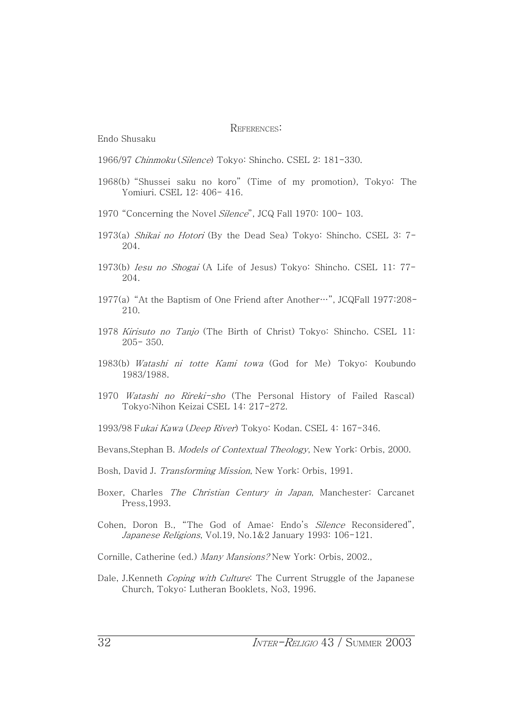#### REFERENCES:

Endo Shusaku

1966/97 Chinmoku (Silence) Tokyo: Shincho. CSEL 2: 181-330.

- 1968(b) "Shussei saku no koro" (Time of my promotion), Tokyo: The Yomiuri. CSEL 12: 406- 416.
- 1970 "Concerning the Novel Silence", JCQ Fall 1970: 100- 103.
- 1973(a) Shikai no Hotori (By the Dead Sea) Tokyo: Shincho. CSEL 3: 7-204.
- 1973(b) Iesu no Shogai (A Life of Jesus) Tokyo: Shincho. CSEL 11: 77-204.
- 1977(a) "At the Baptism of One Friend after Another…", JCQFall 1977:208- $210.$
- 1978 Kirisuto no Tanjo (The Birth of Christ) Tokyo: Shincho. CSEL 11: 205- 350.
- 1983(b) Watashi ni totte Kami towa (God for Me) Tokyo: Koubundo 1983/1988.
- 1970 Watashi no Rireki-sho (The Personal History of Failed Rascal) Tokyo:Nihon Keizai CSEL 14: 217-272.
- 1993/98 Fukai Kawa (Deep River) Tokyo: Kodan. CSEL 4: 167-346.
- Bevans,Stephan B. Models of Contextual Theology, New York: Orbis, 2000.
- Bosh, David J. Transforming Mission, New York: Orbis, 1991.
- Boxer, Charles *The Christian Century in Japan*, Manchester: Carcanet Press, 1993.
- Cohen, Doron B., "The God of Amae: Endo's Silence Reconsidered", Japanese Religions, Vol.19, No.1&2 January 1993: 106-121.
- Cornille, Catherine (ed.) Many Mansions? New York: Orbis, 2002.,
- Dale, J.Kenneth Coping with Culture: The Current Struggle of the Japanese Church, Tokyo: Lutheran Booklets, No3, 1996.